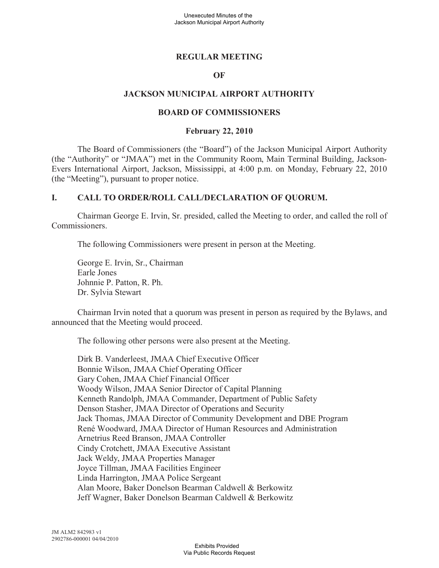### **REGULAR MEETING**

#### **OF**

### **JACKSON MUNICIPAL AIRPORT AUTHORITY**

#### **BOARD OF COMMISSIONERS**

#### **February 22, 2010**

The Board of Commissioners (the "Board") of the Jackson Municipal Airport Authority (the "Authority" or "JMAA") met in the Community Room, Main Terminal Building, Jackson-Evers International Airport, Jackson, Mississippi, at 4:00 p.m. on Monday, February 22, 2010 (the "Meeting"), pursuant to proper notice.

### **I. CALL TO ORDER/ROLL CALL/DECLARATION OF QUORUM.**

Chairman George E. Irvin, Sr. presided, called the Meeting to order, and called the roll of Commissioners.

The following Commissioners were present in person at the Meeting.

George E. Irvin, Sr., Chairman Earle Jones Johnnie P. Patton, R. Ph. Dr. Sylvia Stewart

Chairman Irvin noted that a quorum was present in person as required by the Bylaws, and announced that the Meeting would proceed.

The following other persons were also present at the Meeting.

Dirk B. Vanderleest, JMAA Chief Executive Officer Bonnie Wilson, JMAA Chief Operating Officer Gary Cohen, JMAA Chief Financial Officer Woody Wilson, JMAA Senior Director of Capital Planning Kenneth Randolph, JMAA Commander, Department of Public Safety Denson Stasher, JMAA Director of Operations and Security Jack Thomas, JMAA Director of Community Development and DBE Program René Woodward, JMAA Director of Human Resources and Administration Arnetrius Reed Branson, JMAA Controller Cindy Crotchett, JMAA Executive Assistant Jack Weldy, JMAA Properties Manager Joyce Tillman, JMAA Facilities Engineer Linda Harrington, JMAA Police Sergeant Alan Moore, Baker Donelson Bearman Caldwell & Berkowitz Jeff Wagner, Baker Donelson Bearman Caldwell & Berkowitz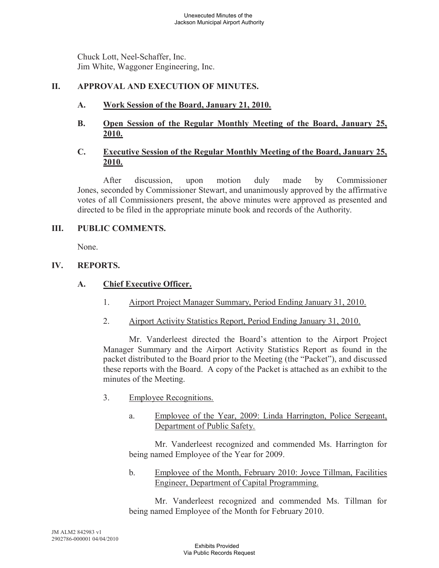Chuck Lott, Neel-Schaffer, Inc. Jim White, Waggoner Engineering, Inc.

## **II. APPROVAL AND EXECUTION OF MINUTES.**

- **A. Work Session of the Board, January 21, 2010.**
- **B. Open Session of the Regular Monthly Meeting of the Board, January 25, 2010.**

## **C. Executive Session of the Regular Monthly Meeting of the Board, January 25, 2010.**

After discussion, upon motion duly made by Commissioner Jones, seconded by Commissioner Stewart, and unanimously approved by the affirmative votes of all Commissioners present, the above minutes were approved as presented and directed to be filed in the appropriate minute book and records of the Authority.

## **III. PUBLIC COMMENTS.**

None.

## **IV. REPORTS.**

# **A. Chief Executive Officer.**

- 1. Airport Project Manager Summary, Period Ending January 31, 2010.
- 2. Airport Activity Statistics Report, Period Ending January 31, 2010.

Mr. Vanderleest directed the Board's attention to the Airport Project Manager Summary and the Airport Activity Statistics Report as found in the packet distributed to the Board prior to the Meeting (the "Packet"), and discussed these reports with the Board. A copy of the Packet is attached as an exhibit to the minutes of the Meeting.

- 3. Employee Recognitions.
	- a. Employee of the Year, 2009: Linda Harrington, Police Sergeant, Department of Public Safety.

Mr. Vanderleest recognized and commended Ms. Harrington for being named Employee of the Year for 2009.

b. Employee of the Month, February 2010: Joyce Tillman, Facilities Engineer, Department of Capital Programming.

Mr. Vanderleest recognized and commended Ms. Tillman for being named Employee of the Month for February 2010.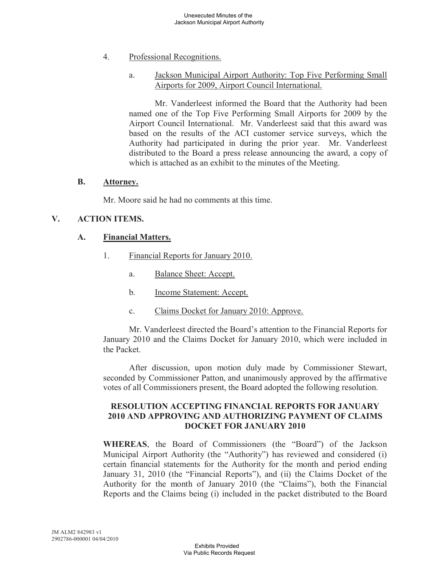### 4. Professional Recognitions.

### a. Jackson Municipal Airport Authority: Top Five Performing Small Airports for 2009, Airport Council International.

Mr. Vanderleest informed the Board that the Authority had been named one of the Top Five Performing Small Airports for 2009 by the Airport Council International. Mr. Vanderleest said that this award was based on the results of the ACI customer service surveys, which the Authority had participated in during the prior year. Mr. Vanderleest distributed to the Board a press release announcing the award, a copy of which is attached as an exhibit to the minutes of the Meeting.

#### **B. Attorney.**

Mr. Moore said he had no comments at this time.

### **V. ACTION ITEMS.**

#### **A. Financial Matters.**

- 1. Financial Reports for January 2010.
	- a. Balance Sheet: Accept.
	- b. Income Statement: Accept.
	- c. Claims Docket for January 2010: Approve.

Mr. Vanderleest directed the Board's attention to the Financial Reports for January 2010 and the Claims Docket for January 2010, which were included in the Packet.

After discussion, upon motion duly made by Commissioner Stewart, seconded by Commissioner Patton, and unanimously approved by the affirmative votes of all Commissioners present, the Board adopted the following resolution.

#### **RESOLUTION ACCEPTING FINANCIAL REPORTS FOR JANUARY 2010 AND APPROVING AND AUTHORIZING PAYMENT OF CLAIMS DOCKET FOR JANUARY 2010**

**WHEREAS**, the Board of Commissioners (the "Board") of the Jackson Municipal Airport Authority (the "Authority") has reviewed and considered (i) certain financial statements for the Authority for the month and period ending January 31, 2010 (the "Financial Reports"), and (ii) the Claims Docket of the Authority for the month of January 2010 (the "Claims"), both the Financial Reports and the Claims being (i) included in the packet distributed to the Board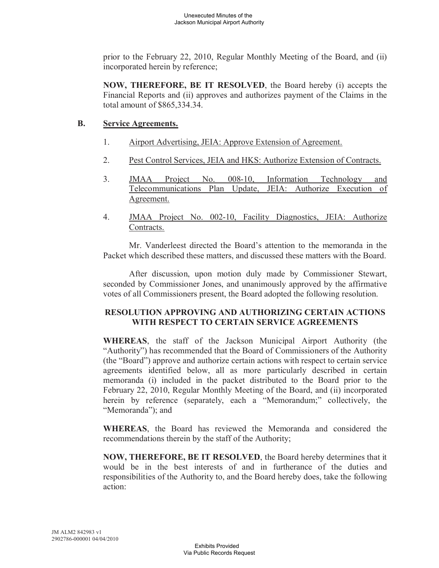prior to the February 22, 2010, Regular Monthly Meeting of the Board, and (ii) incorporated herein by reference;

**NOW, THEREFORE, BE IT RESOLVED**, the Board hereby (i) accepts the Financial Reports and (ii) approves and authorizes payment of the Claims in the total amount of \$865,334.34.

## **B. Service Agreements.**

- 1. Airport Advertising, JEIA: Approve Extension of Agreement.
- 2. Pest Control Services, JEIA and HKS: Authorize Extension of Contracts.
- 3. JMAA Project No. 008-10, Information Technology and Telecommunications Plan Update, JEIA: Authorize Execution of Agreement.
- 4. JMAA Project No. 002-10, Facility Diagnostics, JEIA: Authorize Contracts.

Mr. Vanderleest directed the Board's attention to the memoranda in the Packet which described these matters, and discussed these matters with the Board.

After discussion, upon motion duly made by Commissioner Stewart, seconded by Commissioner Jones, and unanimously approved by the affirmative votes of all Commissioners present, the Board adopted the following resolution.

### **RESOLUTION APPROVING AND AUTHORIZING CERTAIN ACTIONS WITH RESPECT TO CERTAIN SERVICE AGREEMENTS**

**WHEREAS**, the staff of the Jackson Municipal Airport Authority (the "Authority") has recommended that the Board of Commissioners of the Authority (the "Board") approve and authorize certain actions with respect to certain service agreements identified below, all as more particularly described in certain memoranda (i) included in the packet distributed to the Board prior to the February 22, 2010, Regular Monthly Meeting of the Board, and (ii) incorporated herein by reference (separately, each a "Memorandum;" collectively, the "Memoranda"); and

**WHEREAS**, the Board has reviewed the Memoranda and considered the recommendations therein by the staff of the Authority;

**NOW, THEREFORE, BE IT RESOLVED**, the Board hereby determines that it would be in the best interests of and in furtherance of the duties and responsibilities of the Authority to, and the Board hereby does, take the following action: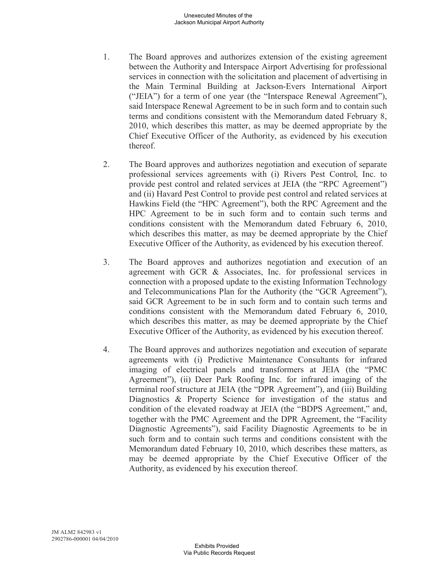- 1. The Board approves and authorizes extension of the existing agreement between the Authority and Interspace Airport Advertising for professional services in connection with the solicitation and placement of advertising in the Main Terminal Building at Jackson-Evers International Airport ("JEIA") for a term of one year (the "Interspace Renewal Agreement"), said Interspace Renewal Agreement to be in such form and to contain such terms and conditions consistent with the Memorandum dated February 8, 2010, which describes this matter, as may be deemed appropriate by the Chief Executive Officer of the Authority, as evidenced by his execution thereof.
- 2. The Board approves and authorizes negotiation and execution of separate professional services agreements with (i) Rivers Pest Control, Inc. to provide pest control and related services at JEIA (the "RPC Agreement") and (ii) Havard Pest Control to provide pest control and related services at Hawkins Field (the "HPC Agreement"), both the RPC Agreement and the HPC Agreement to be in such form and to contain such terms and conditions consistent with the Memorandum dated February 6, 2010, which describes this matter, as may be deemed appropriate by the Chief Executive Officer of the Authority, as evidenced by his execution thereof.
- 3. The Board approves and authorizes negotiation and execution of an agreement with GCR & Associates, Inc. for professional services in connection with a proposed update to the existing Information Technology and Telecommunications Plan for the Authority (the "GCR Agreement"), said GCR Agreement to be in such form and to contain such terms and conditions consistent with the Memorandum dated February 6, 2010, which describes this matter, as may be deemed appropriate by the Chief Executive Officer of the Authority, as evidenced by his execution thereof.
- 4. The Board approves and authorizes negotiation and execution of separate agreements with (i) Predictive Maintenance Consultants for infrared imaging of electrical panels and transformers at JEIA (the "PMC Agreement"), (ii) Deer Park Roofing Inc. for infrared imaging of the terminal roof structure at JEIA (the "DPR Agreement"), and (iii) Building Diagnostics & Property Science for investigation of the status and condition of the elevated roadway at JEIA (the "BDPS Agreement," and, together with the PMC Agreement and the DPR Agreement, the "Facility Diagnostic Agreements"), said Facility Diagnostic Agreements to be in such form and to contain such terms and conditions consistent with the Memorandum dated February 10, 2010, which describes these matters, as may be deemed appropriate by the Chief Executive Officer of the Authority, as evidenced by his execution thereof.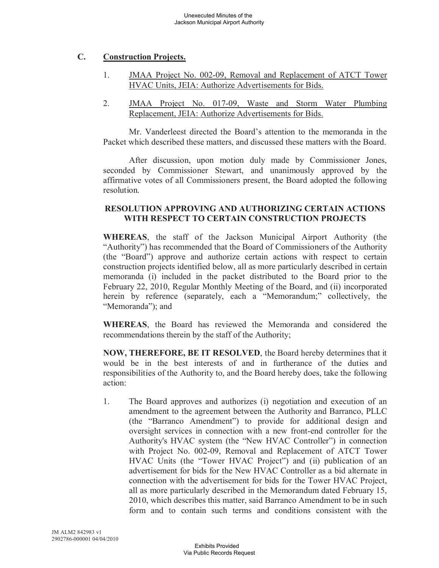## **C. Construction Projects.**

- 1. JMAA Project No. 002-09, Removal and Replacement of ATCT Tower HVAC Units, JEIA: Authorize Advertisements for Bids.
- 2. JMAA Project No. 017-09, Waste and Storm Water Plumbing Replacement, JEIA: Authorize Advertisements for Bids.

Mr. Vanderleest directed the Board's attention to the memoranda in the Packet which described these matters, and discussed these matters with the Board.

After discussion, upon motion duly made by Commissioner Jones, seconded by Commissioner Stewart, and unanimously approved by the affirmative votes of all Commissioners present, the Board adopted the following resolution.

## **RESOLUTION APPROVING AND AUTHORIZING CERTAIN ACTIONS WITH RESPECT TO CERTAIN CONSTRUCTION PROJECTS**

**WHEREAS**, the staff of the Jackson Municipal Airport Authority (the "Authority") has recommended that the Board of Commissioners of the Authority (the "Board") approve and authorize certain actions with respect to certain construction projects identified below, all as more particularly described in certain memoranda (i) included in the packet distributed to the Board prior to the February 22, 2010, Regular Monthly Meeting of the Board, and (ii) incorporated herein by reference (separately, each a "Memorandum;" collectively, the "Memoranda"); and

**WHEREAS**, the Board has reviewed the Memoranda and considered the recommendations therein by the staff of the Authority;

**NOW, THEREFORE, BE IT RESOLVED**, the Board hereby determines that it would be in the best interests of and in furtherance of the duties and responsibilities of the Authority to, and the Board hereby does, take the following action:

1. The Board approves and authorizes (i) negotiation and execution of an amendment to the agreement between the Authority and Barranco, PLLC (the "Barranco Amendment") to provide for additional design and oversight services in connection with a new front-end controller for the Authority's HVAC system (the "New HVAC Controller") in connection with Project No. 002-09, Removal and Replacement of ATCT Tower HVAC Units (the "Tower HVAC Project") and (ii) publication of an advertisement for bids for the New HVAC Controller as a bid alternate in connection with the advertisement for bids for the Tower HVAC Project, all as more particularly described in the Memorandum dated February 15, 2010, which describes this matter, said Barranco Amendment to be in such form and to contain such terms and conditions consistent with the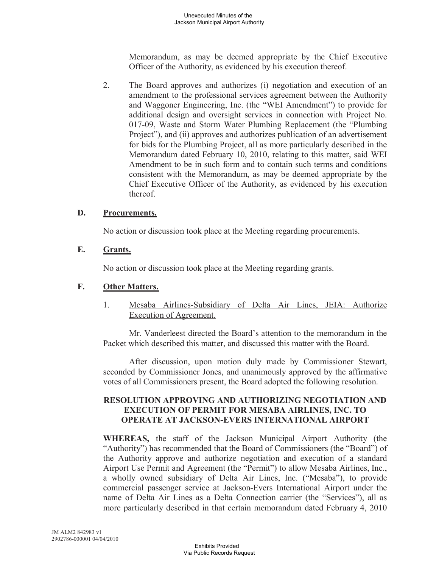Memorandum, as may be deemed appropriate by the Chief Executive Officer of the Authority, as evidenced by his execution thereof.

2. The Board approves and authorizes (i) negotiation and execution of an amendment to the professional services agreement between the Authority and Waggoner Engineering, Inc. (the "WEI Amendment") to provide for additional design and oversight services in connection with Project No. 017-09, Waste and Storm Water Plumbing Replacement (the "Plumbing Project"), and (ii) approves and authorizes publication of an advertisement for bids for the Plumbing Project, all as more particularly described in the Memorandum dated February 10, 2010, relating to this matter, said WEI Amendment to be in such form and to contain such terms and conditions consistent with the Memorandum, as may be deemed appropriate by the Chief Executive Officer of the Authority, as evidenced by his execution thereof.

### **D. Procurements.**

No action or discussion took place at the Meeting regarding procurements.

## **E. Grants.**

No action or discussion took place at the Meeting regarding grants.

## **F. Other Matters.**

1. Mesaba Airlines-Subsidiary of Delta Air Lines, JEIA: Authorize Execution of Agreement.

Mr. Vanderleest directed the Board's attention to the memorandum in the Packet which described this matter, and discussed this matter with the Board.

After discussion, upon motion duly made by Commissioner Stewart, seconded by Commissioner Jones, and unanimously approved by the affirmative votes of all Commissioners present, the Board adopted the following resolution.

## **RESOLUTION APPROVING AND AUTHORIZING NEGOTIATION AND EXECUTION OF PERMIT FOR MESABA AIRLINES, INC. TO OPERATE AT JACKSON-EVERS INTERNATIONAL AIRPORT**

**WHEREAS,** the staff of the Jackson Municipal Airport Authority (the "Authority") has recommended that the Board of Commissioners (the "Board") of the Authority approve and authorize negotiation and execution of a standard Airport Use Permit and Agreement (the "Permit") to allow Mesaba Airlines, Inc., a wholly owned subsidiary of Delta Air Lines, Inc. ("Mesaba"), to provide commercial passenger service at Jackson-Evers International Airport under the name of Delta Air Lines as a Delta Connection carrier (the "Services"), all as more particularly described in that certain memorandum dated February 4, 2010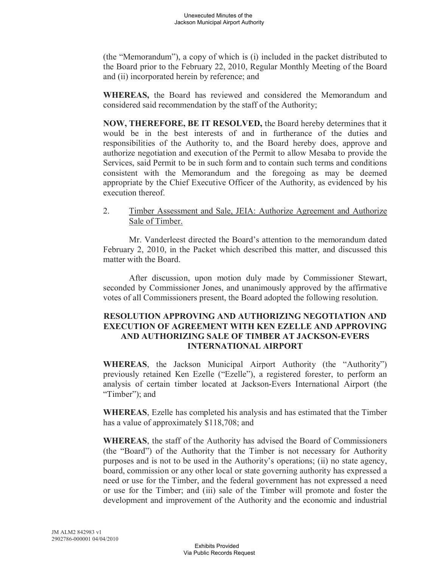(the "Memorandum"), a copy of which is (i) included in the packet distributed to the Board prior to the February 22, 2010, Regular Monthly Meeting of the Board and (ii) incorporated herein by reference; and

**WHEREAS,** the Board has reviewed and considered the Memorandum and considered said recommendation by the staff of the Authority;

**NOW, THEREFORE, BE IT RESOLVED,** the Board hereby determines that it would be in the best interests of and in furtherance of the duties and responsibilities of the Authority to, and the Board hereby does, approve and authorize negotiation and execution of the Permit to allow Mesaba to provide the Services, said Permit to be in such form and to contain such terms and conditions consistent with the Memorandum and the foregoing as may be deemed appropriate by the Chief Executive Officer of the Authority, as evidenced by his execution thereof.

2. Timber Assessment and Sale, JEIA: Authorize Agreement and Authorize Sale of Timber.

Mr. Vanderleest directed the Board's attention to the memorandum dated February 2, 2010, in the Packet which described this matter, and discussed this matter with the Board.

After discussion, upon motion duly made by Commissioner Stewart, seconded by Commissioner Jones, and unanimously approved by the affirmative votes of all Commissioners present, the Board adopted the following resolution.

### **RESOLUTION APPROVING AND AUTHORIZING NEGOTIATION AND EXECUTION OF AGREEMENT WITH KEN EZELLE AND APPROVING AND AUTHORIZING SALE OF TIMBER AT JACKSON-EVERS INTERNATIONAL AIRPORT**

**WHEREAS**, the Jackson Municipal Airport Authority (the "Authority") previously retained Ken Ezelle ("Ezelle"), a registered forester, to perform an analysis of certain timber located at Jackson-Evers International Airport (the "Timber"); and

**WHEREAS**, Ezelle has completed his analysis and has estimated that the Timber has a value of approximately \$118,708; and

**WHEREAS**, the staff of the Authority has advised the Board of Commissioners (the "Board") of the Authority that the Timber is not necessary for Authority purposes and is not to be used in the Authority's operations; (ii) no state agency, board, commission or any other local or state governing authority has expressed a need or use for the Timber, and the federal government has not expressed a need or use for the Timber; and (iii) sale of the Timber will promote and foster the development and improvement of the Authority and the economic and industrial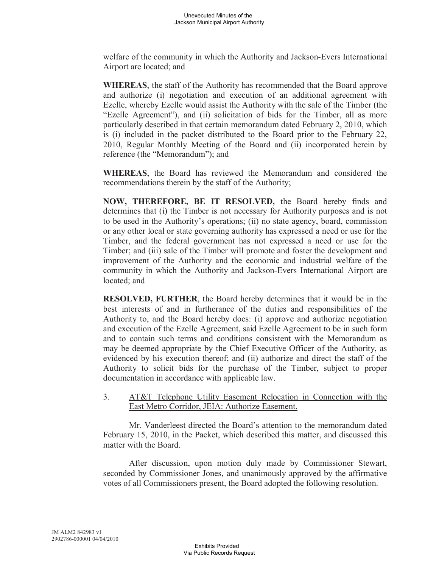welfare of the community in which the Authority and Jackson-Evers International Airport are located; and

**WHEREAS**, the staff of the Authority has recommended that the Board approve and authorize (i) negotiation and execution of an additional agreement with Ezelle, whereby Ezelle would assist the Authority with the sale of the Timber (the "Ezelle Agreement"), and (ii) solicitation of bids for the Timber, all as more particularly described in that certain memorandum dated February 2, 2010, which is (i) included in the packet distributed to the Board prior to the February 22, 2010, Regular Monthly Meeting of the Board and (ii) incorporated herein by reference (the "Memorandum"); and

**WHEREAS**, the Board has reviewed the Memorandum and considered the recommendations therein by the staff of the Authority;

**NOW, THEREFORE, BE IT RESOLVED,** the Board hereby finds and determines that (i) the Timber is not necessary for Authority purposes and is not to be used in the Authority's operations; (ii) no state agency, board, commission or any other local or state governing authority has expressed a need or use for the Timber, and the federal government has not expressed a need or use for the Timber; and (iii) sale of the Timber will promote and foster the development and improvement of the Authority and the economic and industrial welfare of the community in which the Authority and Jackson-Evers International Airport are located; and

**RESOLVED, FURTHER**, the Board hereby determines that it would be in the best interests of and in furtherance of the duties and responsibilities of the Authority to, and the Board hereby does: (i) approve and authorize negotiation and execution of the Ezelle Agreement, said Ezelle Agreement to be in such form and to contain such terms and conditions consistent with the Memorandum as may be deemed appropriate by the Chief Executive Officer of the Authority, as evidenced by his execution thereof; and (ii) authorize and direct the staff of the Authority to solicit bids for the purchase of the Timber, subject to proper documentation in accordance with applicable law.

3. AT&T Telephone Utility Easement Relocation in Connection with the East Metro Corridor, JEIA: Authorize Easement.

Mr. Vanderleest directed the Board's attention to the memorandum dated February 15, 2010, in the Packet, which described this matter, and discussed this matter with the Board.

After discussion, upon motion duly made by Commissioner Stewart, seconded by Commissioner Jones, and unanimously approved by the affirmative votes of all Commissioners present, the Board adopted the following resolution.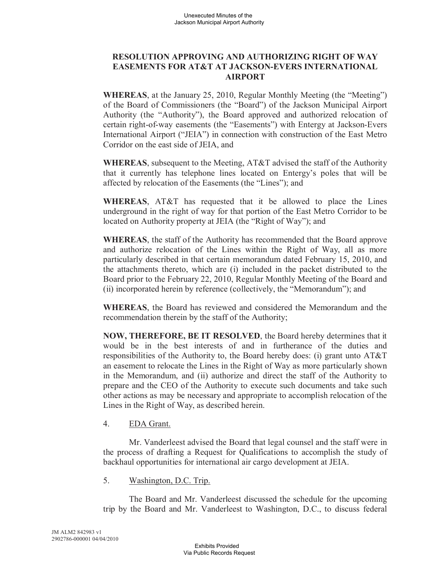## **RESOLUTION APPROVING AND AUTHORIZING RIGHT OF WAY EASEMENTS FOR AT&T AT JACKSON-EVERS INTERNATIONAL AIRPORT**

**WHEREAS**, at the January 25, 2010, Regular Monthly Meeting (the "Meeting") of the Board of Commissioners (the "Board") of the Jackson Municipal Airport Authority (the "Authority"), the Board approved and authorized relocation of certain right-of-way easements (the "Easements") with Entergy at Jackson-Evers International Airport ("JEIA") in connection with construction of the East Metro Corridor on the east side of JEIA, and

**WHEREAS**, subsequent to the Meeting, AT&T advised the staff of the Authority that it currently has telephone lines located on Entergy's poles that will be affected by relocation of the Easements (the "Lines"); and

**WHEREAS**, AT&T has requested that it be allowed to place the Lines underground in the right of way for that portion of the East Metro Corridor to be located on Authority property at JEIA (the "Right of Way"); and

**WHEREAS**, the staff of the Authority has recommended that the Board approve and authorize relocation of the Lines within the Right of Way, all as more particularly described in that certain memorandum dated February 15, 2010, and the attachments thereto, which are (i) included in the packet distributed to the Board prior to the February 22, 2010, Regular Monthly Meeting of the Board and (ii) incorporated herein by reference (collectively, the "Memorandum"); and

**WHEREAS**, the Board has reviewed and considered the Memorandum and the recommendation therein by the staff of the Authority;

**NOW, THEREFORE, BE IT RESOLVED**, the Board hereby determines that it would be in the best interests of and in furtherance of the duties and responsibilities of the Authority to, the Board hereby does: (i) grant unto AT&T an easement to relocate the Lines in the Right of Way as more particularly shown in the Memorandum, and (ii) authorize and direct the staff of the Authority to prepare and the CEO of the Authority to execute such documents and take such other actions as may be necessary and appropriate to accomplish relocation of the Lines in the Right of Way, as described herein.

### 4. EDA Grant.

Mr. Vanderleest advised the Board that legal counsel and the staff were in the process of drafting a Request for Qualifications to accomplish the study of backhaul opportunities for international air cargo development at JEIA.

5. Washington, D.C. Trip.

The Board and Mr. Vanderleest discussed the schedule for the upcoming trip by the Board and Mr. Vanderleest to Washington, D.C., to discuss federal